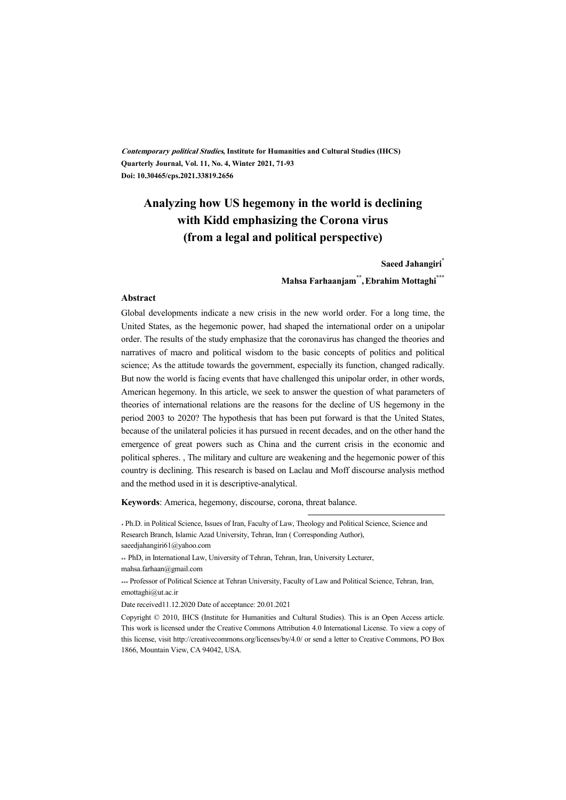**Contemporary political Studies, Institute for Humanities and Cultural Studies (IHCS) Quarterly Journal, Vol. 11, No. 4, Winter 2021, 71-93 Doi: 10.30465/cps.2021.33819.2656** 

## **Analyzing how US hegemony in the world is declining with Kidd emphasizing the Corona virus (from a legal and political perspective)**

**Saeed Jahangiri\***

#### **Mahsa Farhaanjam\*\* ,Ebrahim Mottaghi\*\*\***

#### **Abstract**

Global developments indicate a new crisis in the new world order. For a long time, the United States, as the hegemonic power, had shaped the international order on a unipolar order. The results of the study emphasize that the coronavirus has changed the theories and narratives of macro and political wisdom to the basic concepts of politics and political science; As the attitude towards the government, especially its function, changed radically. But now the world is facing events that have challenged this unipolar order, in other words, American hegemony. In this article, we seek to answer the question of what parameters of theories of international relations are the reasons for the decline of US hegemony in the period 2003 to 2020? The hypothesis that has been put forward is that the United States, because of the unilateral policies it has pursued in recent decades, and on the other hand the emergence of great powers such as China and the current crisis in the economic and political spheres. , The military and culture are weakening and the hegemonic power of this country is declining. This research is based on Laclau and Moff discourse analysis method and the method used in it is descriptive-analytical.

**Keywords**: America, hegemony, discourse, corona, threat balance.

.

\*\* PhD, in International Law, University of Tehran, Tehran, Iran, University Lecturer, mahsa.farhaan@gmail.com

\*\*\* Professor of Political Science at Tehran University, Faculty of Law and Political Science, Tehran, Iran, emottaghi@ut.ac.ir

Date received11.12.2020 Date of acceptance: 20.01.2021

Copyright © 2010, IHCS (Institute for Humanities and Cultural Studies). This is an Open Access article. This work is licensed under the Creative Commons Attribution 4.0 International License. To view a copy of this license, visit http://creativecommons.org/licenses/by/4.0/ or send a letter to Creative Commons, PO Box 1866, Mountain View, CA 94042, USA.

<sup>\*</sup> Ph.D. in Political Science, Issues of Iran, Faculty of Law, Theology and Political Science, Science and Research Branch, Islamic Azad University, Tehran, Iran ( Corresponding Author), saeedjahangiri61@yahoo.com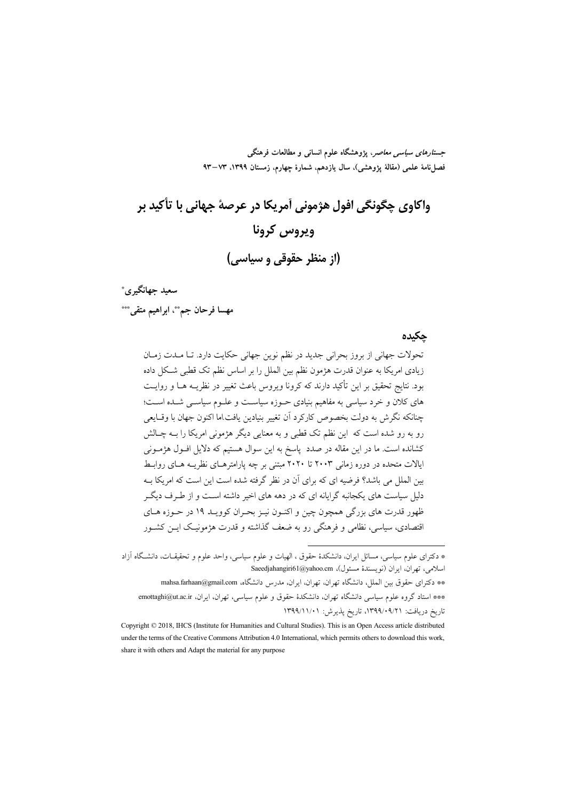جس*تارهای سیاسی معاصر*، پژوهشگاه علوم انسانی و مطالعات فرهنگی فصل نامهٔ علمی (مقالهٔ یژوهشی)، سال یازدهم، شمارهٔ چهارم، زمستان ۱۳۹۹، ۹۳–۹۳

# واکاوي چگونگي افول هژموني آمريکا در عرصهٔ جهاني با تأکيد بر ويروس كرونا (از منظر حقوقی و سیاسی)

سعيد جهانگيري\* مهسا فرحان جمڨ ابراهيم متقى\*\*\*

#### حكىدە

تحولات جهاني از بروز بحراني جديد در نظم نوين جهاني حكايت دارد. تا مـدت زمـان زیادی امریکا به عنوان قدرت هژمون نظم بین الملل را بر اساس نظم تک قطبی شکل داده بود. نتایج تحقیق بر این تأکید دارند که کرونا ویروس باعث تغییر در نظریــه هــا و روایــت های کلان و خرد سیاسی به مفاهیم بنیادی حـوزه سیاسـت و علـوم سیاسـی شـده اسـت؛ چنانکه نگرش به دولت بخصوص کارکرد آن تغییر بنیادین یافت اما اکنون جهان با وقـایعی رو به رو شده است که این نظم تک قطبی و به معنایی دیگر هژمونی امریکا را بــه چــالش کشانده است. ما در این مقاله در صدد پاسخ به این سوال هستیم که دلایل افـول هژمـونی ایالات متحده در دوره زمانی ۲۰۰۳ تا ۲۰۲۰ مبتنی بر چه پارامترهـای نظریــه هــای روابــط بین الملل می باشد؟ فرضیه ای که برای آن در نظر گرفته شده است این است که امریکا بـه دلیل سیاست های یکجانبه گرایانه ای که در دهه های اخیر داشته اسـت و از طـرف دیگـر ظهور قدرت های بزرگی همچون چین و اکنـون نیـز بحـران کوویـد ۱۹ در حـوزه هـای اقتصادی، سیاسی، نظامی و فرهنگی رو به ضعف گذاشته و قدرت هژمونیک ایس کشـور

<sup>\*</sup> دکترای علوم سیاسی، مسائل ایران، دانشکدهٔ حقوق ، الهیات و علوم سیاسی، واحد علوم و تحقیقـات، دانشـگاه آزاد اسلامی، تھ ان، ابران (نویسندهٔ مسئول)، Saeedjahangiri61@yahoo.cm

<sup>\*\*</sup> دكتراي حقوق بين الملل، دانشگاه تهران، تهران، ايران، مدرس دانشگاه، mahsa.farhaan@gmail.com \*\*\* استاد گروه علوم سیاسی دانشگاه تهران، دانشکدهٔ حقوق و علوم سیاسی، تهران، ایران، emottaghi@ut.ac.ir تاريخ دريافت: ۰۹/۰۹/۲۱، تاريخ پذيرش: ۱۳۹۹/۱۱/۰۱

Copyright © 2018, IHCS (Institute for Humanities and Cultural Studies). This is an Open Access article distributed under the terms of the Creative Commons Attribution 4.0 International, which permits others to download this work, share it with others and Adapt the material for any purpose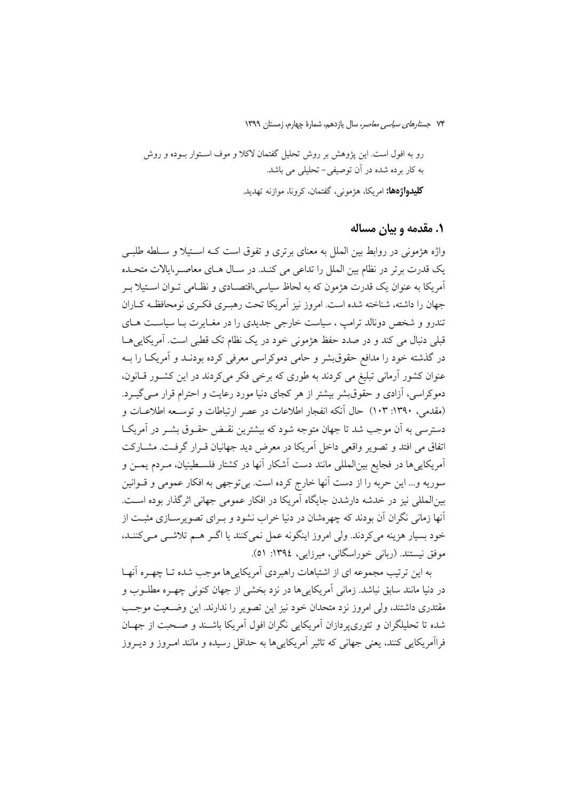رو به افول است. این پژوهش بر روش تحلیل گفتمان لاکلا و موف اسـتوار بــوده و روش به کار برده شده در آن توصیفی-تحلیلی می باشد. **کلیدواژهها:** امریکا، هژمونی، گفتمان، کرونا، موازنه تهدید.

#### ۱. مقدمه و بیان مساله

واژه هژمونی در روابط بین الملل به معنای برتری و تفوق است کـه اسـتیلا و سـلطه طلبـی یک قدرت برتر در نظام بین الملل را تداعی می کنـد. در سـال هـای معاصـر،ایالات متحـده آمريكا به عنوان يك قدرت هژمون كه به لحاظ سياسي،اقتصـادي و نظـامي تـوان اسـتيلا بـر جهان را داشته، شناخته شده است. امروز نیز آمریکا تحت رهبـری فکـری نومحافظـه کـاران تندرو و شخص دونالد ترامپ ، سیاست خارجی جدیدی را در مغـایرت بـا سیاسـت هـای قبلی دنبال می کند و در صدد حفظ هژمونی خود در یک نظام تک قطبی است. آمریکایی هـا در گذشته خود را مدافع حقوق بشر و حامی دموکراسی معرفی کرده بودنـد و آمریکـا را بــه عنوان کشور آرمانی تبلیغ می کردند به طوری که برخی فکر میکردند در این کشور قـانون، دموکراسی، آزادی و حقوق بشر بیشتر از هر کجای دنیا مورد رعایت و احترام قرار مـی گیــرد. (مقدمی، ۱۳۹۰: ۱۰۳) حال أنكه انفجار اطلاعات در عصر ارتباطات و توسعه اطلاعـات و دسترسی به آن موجب شد تا جهان متوجه شود که بیشترین نقـض حقـوق بشـر در آمریکـا اتفاق می افتد و تصویر واقعی داخل آمریکا در معرض دید جهانیان قـرار گرفـت. مشــارکت آمريكايي ها در فجايع بين|لمللي مانند دست آشكار آنها در كشتار فلسـطينيان، مـردم يمــن و سوريه و... اين حربه را از دست آنها خارج كرده است. بي توجهي به افكار عمومي و قــوانين بین|لمللی نیز در خدشه دارشدن جایگاه آمریکا در افکار عمومی جهانی اثرگذار بوده است. آنها زمانی نگران آن بودند که چهرهشان در دنیا خراب نشود و بـرای تصویرســازی مثبــت از خود بسیار هزینه می کردند. ولی امروز اینگونه عمل نمی کنند یا اگـر هـم تلاشـی مـی کننـد، موفق نیستند. (ربانی خوراسگانی، میرزایی، ۱۳۹٤: ۵۱).

به این ترتیب مجموعه ای از اشتباهات راهبردی آمریکاییها موجب شده تـا چهـره آنهـا در دنیا مانند سابق نباشد. زمانی آمریکایی ها در نزد بخشی از جهان کنونی چهـره مطلــوب و مقتدری داشتند، ولی امروز نزد متحدان خود نیز این تصویر را ندارند. این وضـعیت موجـب شده تا تحلیلگران و تئوری، دازان آمریکایی نگران افول اَمریکا باشـند و صـحبت از جهـان فرااَمريکايي کنند، يعني جهاني که تاثير اَمريکايي ها به حداقل رسيده و مانند امـروز و ديــروز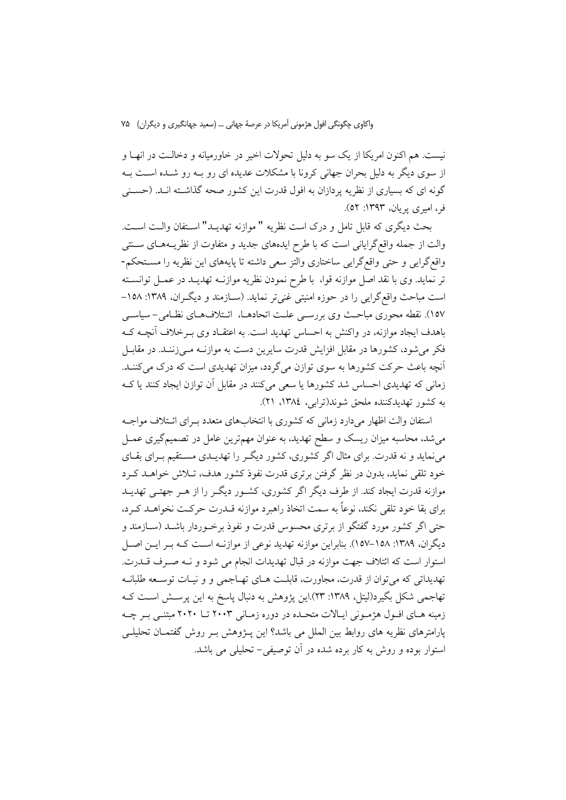نیست. هم اکنون امریکا از یک سو به دلیل تحولات اخیر در خاورمیانه و دخالـت در انهـا و از سوی دیگر به دلیل بحران جهانی کرونا با مشکلات عدیده ای رو بـه رو شـده اسـت بـه گونه ای که بسیاری از نظریه پردازان به افول قدرت این کشور صحه گذاشــته انــد. (حســنی فر، امیری پریان، ۱۳۹۳: ۵۲).

بحث ديگري كه قابل تامل و درك است نظريه " موازنه تهديـد" اسـتفان والـت اسـت. والت از جمله واقع گرایانی است که با طرح ایدههای جدید و متفاوت از نظریـههـای ســنتی واقع گرایی و حتی واقع گرایی ساختاری والتز سعی داشته تا پایههای این نظریه را مستحکم-تر نماید. وی با نقد اصل موازنه قوا، با طرح نمودن نظریه موازنـه تهدیـد در عمـل توانسـته است مباحث واقع گرایی را در حوزه امنیتی غنی تر نماید. (سـازمند و دیگـران، ۱۳۸۹: ۱۵۸-۱۵۷). نقطه محوری مباحث وی بررسـی علـت اتحادهـا، ائـتلافهـای نظـامی- سیاسـی باهدف ایجاد موازنه، در واکنش به احساس تهدید است. به اعتقـاد وی بـرخلاف آنچــه کــه فکر میشود، کشورها در مقابل افزایش قدرت سایرین دست به موازنـه مـی;زننـد. در مقابــل آنچه باعث حرکت کشورها به سوی توازن میگردد، میزان تهدیدی است که درک میکننـد. زمانی که تهدیدی احساس شد کشورها یا سعی میکنند در مقابل آن توازن ایجاد کنند یا ک به کشور تهدیدکننده ملحق شوند(ترابی، ١٣٨٤، ٢١).

استفان والت اظهار می دارد زمانی که کشوری با انتخابهای متعدد به ای ائـتلاف مواجـه میشد، محاسبه میزان ریسک و سطح تهدید، به عنوان مهمترین عامل در تصمیمگیری عمــل می نماید و نه قدرت برای مثال اگر کشوری، کشور دیگر را تهدیــدی مســتقیم بــرای بقــای خود تلقی نماید، بدون در نظر گرفتن برتری قدرت نفوذ کشور هدف، تـلاش خواهــد کــرد موازنه قدرت ایجاد کند. از طرف دیگر اگر کشوری، کشـور دیگـر را از هـر جهتـبی تهدیــد برای بقا خود تلقی نکند، نوعاً به سمت اتخاذ راهبرد موازنه قــدرت حرکــت نخواهــد کــرد، حتی اگر کشور مورد گفتگو از برتری محسوس قدرت و نفوذ برخـوردار باشــد (ســازمند و دیگران، ۱۳۸۹: ۱۵۸–۱۵۷). بنابراین موازنه تهدید نوعی از موازنـه اسـت کـه بـر ایـن اصـل استوار است كه ائتلاف جهت موازنه در قبال تهديدات انجام مي شود و نـه صـرف قــدرت. تهديداتي كه مي توان از قدرت، مجاورت، قابلت هـاي تهـاجمي و و نيـات توسـعه طلبانـه تهاجمی شکل بگیرد(لیتل، ۱۳۸۹: ۲۳).این پژوهش به دنبال پاسخ به این پرسـش اسـت کــه زمینه هـای افـول هژمـونی ایـالات متحـده در دوره زمـانی ۲۰۰۳ تـا ۲۰۲۰ مبتنـی بـر چـه پارامترهای نظریه های روابط بین الملل می باشد؟ این پــژوهش بــر روش گفتمــان تحلیلــی استوار بوده و روش به کار برده شده در آن توصیفی – تحلیلی می باشد.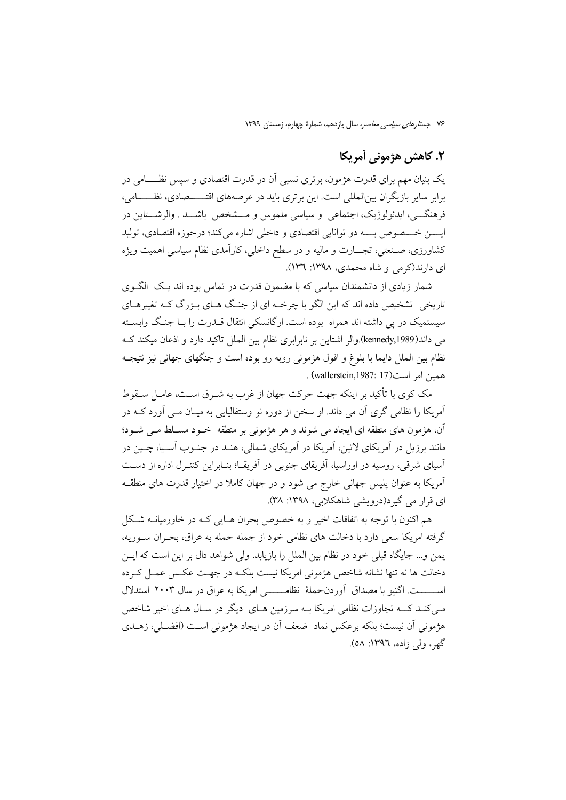## ٢. كاهش هژموني أمريكا

یک بنیان مهم برای قدرت هژمون، برتری نسبی آن در قدرت اقتصادی و سپس نظــــامی در برابر سایر بازیگران بین|لمللی است. این برتری باید در عرصههای اقتـــــصادی، نظــــــامی، فرهنگے ٍ، ايدئولوژيک، اجتماعي ٍ و سياسي ملموس و مـــشخص باشـــد . والرشـــتاين در ايسن خـــصوص بـــه دو توانايي اقتصادي و داخلي اشاره مي كند؛ درحوزه اقتصادي، توليد کشاورزی، صـنعتی، تجـــارت و مالیه و در سطح داخلی، کارآمدی نظام سیاسی اهمیت ویژه ای دارند(کرمی و شاه محمدی، ۱۳۹۸: ۱۳٦).

شمار زیادی از دانشمندان سیاسی که با مضمون قدرت در تماس بوده اند یک الگوی تاریخی تشخیص داده اند که این الگو با چرخــه ای از جنگ هــای بــزرگ کــه تغییرهــای سیستمیک در پی داشته اند همراه بوده است. ارگانسکی انتقال قــدرت را بــا جنـگ وابســته می داند(kennedy,1989).والر اشتاین بر نابرابری نظام بین الملل تاکید دارد و اذعان میکند ک نظام بين الملل دايما با بلوغ و افول هژموني روبه رو بوده است و جنگهاي جهاني نيز نتيجـه همين امر است(17 :1987, wallerstein) .

مک کوی با تأکید بر اینکه جهت حرکت جهان از غرب به شیرق است، عامیل سیقوط آمریکا را نظامی گری آن می داند. او سخن از دوره نو وستفالیایی به میـان مـبی آورد کـبه در آن، هژمون های منطقه ای ایجاد می شوند و هر هژمونی بر منطقه خـود مسـلط مـی شـود؛ مانند برزیل در آمریکای لاتین، آمریکا در آمریکای شمالی، هنـد در جنــوب آســیا، چــین در آسیای شرقی، روسیه در اوراسیا، آفریقای جنوبی در آفریقـا؛ بنــابراین کنتــرل اداره از دســت آمریکا به عنوان پلیس جهانی خارج می شود و در جهان کاملا در اختیار قدرت های منطقه ای قرار می گیرد(درویشی شاهکلایی، ۱۳۹۸: ۳۸).

هم اکنون با توجه به اتفاقات اخیر و به خصوص بحران هـایی کـه در خاورمیانــه شـکل گرفته امریکا سعی دارد با دخالت های نظامی خود از جمله حمله به عراق، بحـران سـوریه، يمن و... جايگاه قبلي خود در نظام بين الملل را بازيابد. ولي شواهد دال بر اين است كه ايــن دخالت ها نه تنها نشانه شاخص هژمونی امریکا نیست بلکـه در جهـت عکـس عمـل کـرده اســــــت. اگنیو با مصداق آوردنحملهٔ نظامـــــــی امریکا به عراق در سال ۲۰۰۳ استدلال مبی کنـد کـــه تجاوزات نظامی امریکا بــه سرزمین هــای ِ دیگر در ســال هــای اخیر شاخص هژمونی اَن نیست؛ بلکه برعکس نماد ضعف اَن در ایجاد هژمونی اسـت (افضـلی، زهـلـی گھر، ولي زاده، ١٣٩٦: ٥٨).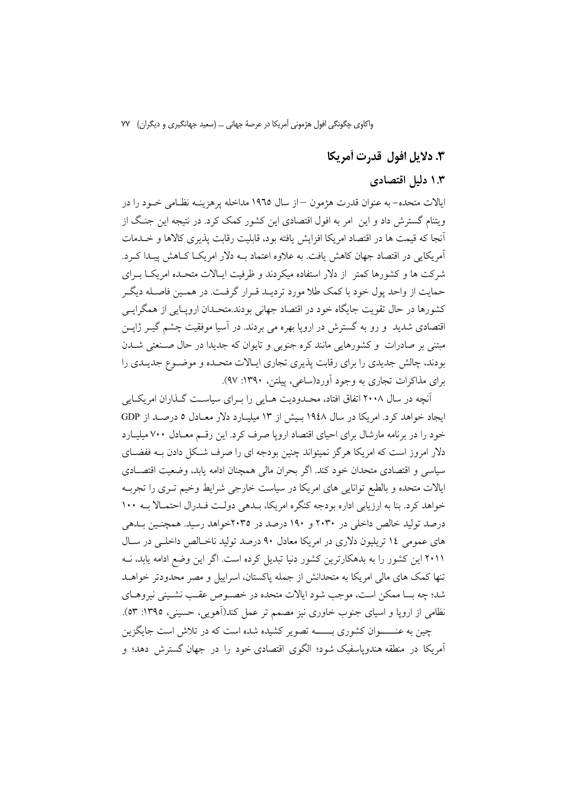## ٣. دلايل افول قدرت أمريكا

## ۱.۳ دلیل اقتصادی

ايالات متحده– به عنوان قدرت هژمون —از سال ١٩٦٥ مداخله پرهزينــه نظــامي خــود را در ویتنام گسترش داد و این امر به افول اقتصادی این کشور کمک کرد. در نتیجه این جنگ از آنجا که قیمت ها در اقتصاد امریکا افزایش یافته بود، قابلیت رقابت پذیری کالاها و خـلمات آمریکایی در اقتصاد جهان کاهش یافت. به علاوه اعتماد بـه دلار امریکـا کـاهش پیـدا کـرد. شرکت ها و کشورها کمتر از دلار استفاده میکردند و ظرفیت ایـالات متحـده امریکـا بـرای حمایت از واحد پول خود با کمک طلا مورد تردیـد قـرار گرفـت. در همـین فاصـله دیگـر کشورها در حال تقویت جایگاه خود در اقتصاد جهانی بودند.متحـدان ارویـایی از همگرایـی اقتصادی شدید ً و رو به گسترش در اروپا بهره می بردند. در آسیا موفقیت چشم گیــر ژاپــن مبتنی بر صادرات و کشورهایی مانند کره جنوبی و تایوان که جدیدا در حال صـنعتی شــدن بودند، چالش جدیدی را برای رقابت پذیری تجاری ایـالات متحـده و موضـوع جدیـدی را برای مذاکرات تجاری به وجود آورد(ساعی، پبلتن، ۱۳۹۰: ۹۷).

آنچه در سال ۲۰۰۸ اتفاق افتاد، محـدودیت هـایی را بـرای سیاسـت گـذاران امریکـایی ایجاد خواهد کرد. امریکا در سال ۱۹٤۸ بـیش از ۱۳ میلیـارد دلار معـادل ۵ درصـد از GDP خود را در برنامه مارشال برای احیای اقتصاد اروپا صرف کرد. این رقم معـادل ۷۰۰ میلیــارد دلار امروز است که امریکا هرگز نمیتواند چنین بودجه ای را صرف شکل دادن بـه ففضـای سیاسی و اقتصادی متحدان خود کند. اگر بحران مالی همچنان ادامه یابد، وضعیت اقتصـادی ایالات متحده و بالطبع توانایی های امریکا در سیاست خارجی شرایط وخیم تـری را تجربـه خواهد کرد. بنا به ارزیابی اداره بودجه کنگره امریکا، بلدهی دولت فلدرال احتمالا بـه ١٠٠ درصد تولید خالص داخلی در ۲۰۳۰ و ۱۹۰ درصد در ۲۰۳۵خواهد رسید. همچنـین بــدهی های عمومی ۱۶ تریلیون دلاری در امریکا معادل ۹۰ درصد تولید ناخـالص داخلـی در سـال ۲۰۱۱ این کشور را به بدهکارترین کشور دنیا تبدیل کرده است. اگر این وضع ادامه یابد، نـه تنها کمک های مالی امریکا به متحدانش از جمله پاکستان، اسراییل و مصر محدودتر خواهــد شد؛ چه بسا ممکن است، موجب شود ایالات متحده در خصـوص عقـب نشـینی نیروهـای نظامی از اروپا و اسپای جنوب خاوری نیز مصمم تر عمل کند(آهویی، حسینی، ۱۳۹۵: ۵۳). چین به عنـــــوان کشوری بــــــه تصویر کشیده شده است که در تلاش است جایگزین اّمویکا در منطقه هندویاسفیک شود؛ الگوی اقتصادی خود را در جهان گسترش دهد؛ و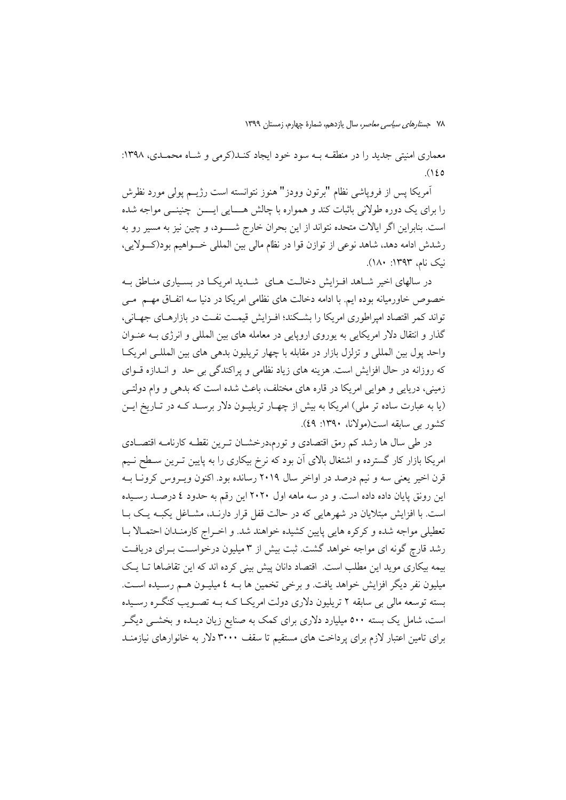معماری امنیتی جدید را در منطقـه بـه سود خود ایجاد کنـد(کرمی و شـاه محمـدی، ۱۳۹۸:  $(150$ 

آمريكا يس از فروياشي نظام "برتون وودز" هنوز نتوانسته است رژيــم يولى مورد نظرش را برای یک دوره طولانی باثبات کند و همواره با چالش هــــایی ایــــن چنینـــی مواجه شده است. بنابراین اگر ایالات متحده نتواند از این بحران خارج شـــود، و چین نیز به مسیر رو به رشدش ادامه دهد، شاهد نوعی از توازن قوا در نظام مالی بین المللی خـــواهیم بود(کـــولایی، نيک نام، ١٣٩٣: ١٨٠).

در سالهای اخیر شـاهد افـزایش دخالـت هـای شـدید امریکـا در بسـیاری منـاطق بـه خصوص خاورمیانه بوده ایم. با ادامه دخالت های نظامی امریکا در دنیا سه اتفـاق مهــم ً مــی تواند کمر اقتصاد امیراطوری امریکا را بشبکند؛ افیزایش قیمت نفت در بازارهبای جهبانی، گذار و انتقال دلار امریکایی به یوروی اروپایی در معامله های بین المللی و انرژی بـه عنـوان واحد يول بين المللي و تزلزل بازار در مقابله با چهار تريليون بدهي هاي بين المللـي امريكــا که روزانه در حال افزایش است. هزینه های زیاد نظامی و پراکندگی بی حد و انـدازه قــوای زمینی، دریایی و هوایی امریکا در قاره های مختلف، باعث شده است که بدهی و وام دولتـی (یا به عبارت ساده تر ملی) امریکا به بیش از چهـار تریلیـون دلار برسـد کـه در تـاریخ ایـن کشور یے سابقه است(مولانا، ۱۳۹۰: ٤٩).

در طی سال ها رشد کم رمق اقتصادی و تورم،درخشـان تـرین نقطـه کارنامـه اقتصـادی امریکا بازار کار گسترده و اشتغال بالای آن بود که نرخ بیکاری را به پایین تـرین سـطح نـیم قرن اخیر یعنی سه و نیم درصد در اواخر سال ۲۰۱۹ رسانده بود. اکنون ویـروس کرونـا بـه این رونق یایان داده داده است. و در سه ماهه اول ۲۰۲۰ این رقم به حدود ٤ درصـد رسـیده است. با افزایش مبتلایان در شهرهایی که در حالت قفل قرار دارنـد، مشـاغل یکبـه یـک بـا تعطیلی مواجه شده و کرکره هایی پایین کشیده خواهند شد. و اخـراج کارمنـدان احتمـالا بـا رشد قارچ گونه ای مواجه خواهد گشت. ثبت بیش از ۳ میلیون درخواست بـرای دریافـت بیمه بیکاری موید این مطلب است. اقتصاد دانان پیش بینی کرده اند که این تقاضاها تــا یــک میلیون نفر دیگر افزایش خواهد یافت. و برخی تخمین ها بــه ٤ میلیــون هــم رســیده اســت. بسته توسعه مالی بی سابقه ۲ تریلیون دلاری دولت امریکا کـه بـه تصـویب کنگـره رسـیده است، شامل یک بسته ۵۰۰ میلیارد دلاری برای کمک به صنایع زیان دیـده و بخشــی دیگــر برای تامین اعتبار لازم برای پرداخت های مستقیم تا سقف ۳۰۰۰ دلار به خانوارهای نیازمنـد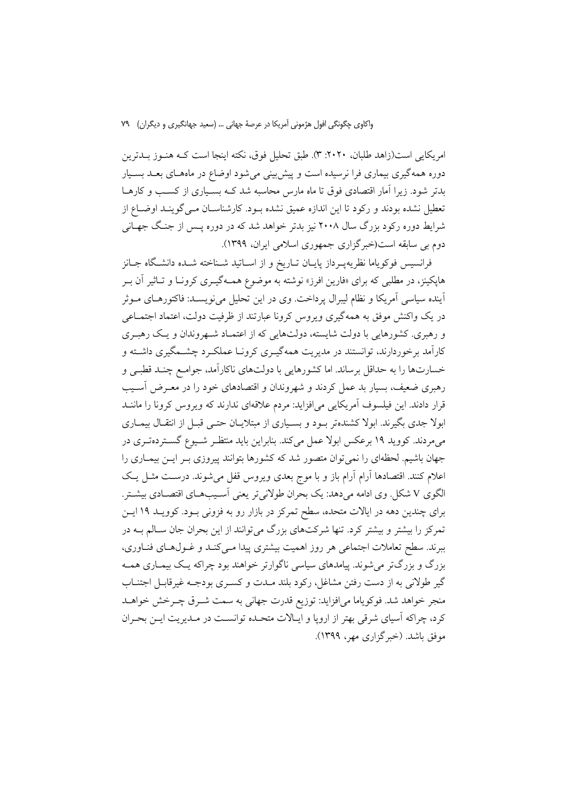امريكايي است(زاهد طلبان، ٢٠٢٠: ٣). طبق تحليل فوق، نكته اينجا است كـه هنـوز بــدترين دوره همهگیری بیماری فرا نرسیده است و پیشبینی می شود اوضاع در ماههـای بعـد بسـیار بدتر شود. زیرا آمار اقتصادی فوق تا ماه مارس محاسبه شد کـه بسـیاری از کسـب و کارهـا تعطیل نشده بودند و رکود تا این اندازه عمیق نشده بـود. کارشناسـان مـی گوینـد اوضــاع از شرایط دوره رکود بزرگ سال ۲۰۰۸ نیز بدتر خواهد شد که در دوره پــس از جنـگ جهــانی دوم بی سابقه است(خبرگزاری جمهوری اسلامی ایران، ۱۳۹۹).

فرانسیس فوکویاما نظریهپـرداز پایــان تــاریخ و از اســاتید شــناخته شــده دانشــگاه جــانز هاپکینز، در مطلبی که برای «فارین افرز» نوشته به موضوع همـهگیــری کرونــا و تــاثیر آن بــر آینده سیاسی آمریکا و نظام لیبرال پرداخت. وی در این تحلیل می نویســد: فاکتورهــای مــوثر در یک واکنش موفق به همهگیری ویروس کرونا عبارتند از ظرفیت دولت، اعتماد اجتمــاعی و رهبری. کشورهایی با دولت شایسته، دولتهایی که از اعتمـاد شـهروندان و یـک رهبـری کارآمد برخوردارند، توانستند در مدیریت همهگیـری کرونـا عملکـرد چشـمگیری داشـته و خسارتها را به حداقل برساند. اما كشورهايي با دولتهاي ناكارآمد، جوامع چنـد قطبـي و رهبری ضعیف، بسیار بد عمل کردند و شهروندان و اقتصادهای خود را در معـرض آسـیب قرار دادند. این فیلسوف آمریکایی می افزاید: مردم علاقهای ندارند که ویروس کرونا را ماننـد ابولا جدی بگیرند. ابولا کشندهتر بود و بسـیاری از مبتلایـان حتـی قبـل از انتقـال بیمـاری می،مردند. کووید ۱۹ برعکس ابولا عمل میکند. بنابراین باید منتظـر شـیوع گسـتردهتـری در جهان باشیم. لحظهای را نمیتوان متصور شد که کشورها بتوانند پیروزی بـر ایــن بیمــاری را اعلام کنند. اقتصادها آرام آرام باز و با موج بعدی ویروس قفل می شوند. درست مثـل یـک الگوی V شکل وی ادامه می دهد: یک بحران طولانی تر یعنی آسیبهای اقتصادی بیشتر. برای چندین دهه در ایالات متحده، سطح تمرکز در بازار رو به فزونی بـود. کوویـد ۱۹ ایـن تمرکز را بیشتر و بیشتر کرد. تنها شرکتهای بزرگ می توانند از این بحران جان سـالم بــه در ببرند. سطح تعاملات اجتماعی هر روز اهمیت بیشتری پیدا مـیکنـد و غـولهـای فنـاوری، بزرگ و بزرگتر میشوند. پیامدهای سیاسی ناگوارتر خواهند بود چراکه یک بیمـاری همـه گیر طولانی به از دست رفتن مشاغل، رکود بلند مـدت و کسـری بودجـه غیرقابـل اجتنـاب منجر خواهد شد. فوكوياما مىافزايد: توزيع قدرت جهاني به سمت شـرق چـرخش خواهـد کرد، چراکه اسیای شرقی بهتر از اروپا و ایـالات متحـده توانسـت در مـدیریت ایـن بحـران موفق باشد. (خبرگزاری مهر، ۱۳۹۹).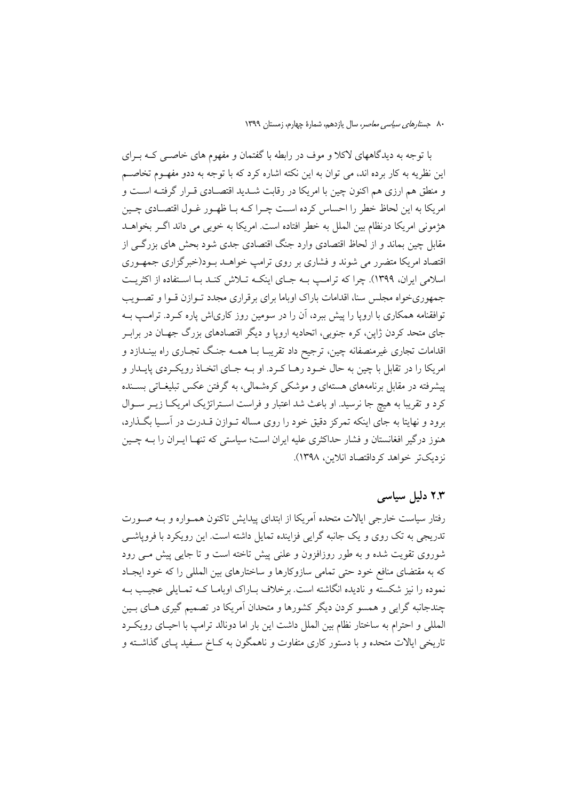با توجه به دیدگاههای لاکلا و موف در رابطه با گفتمان و مفهوم های خاصـبی کــه بــرای این نظریه به کار برده اند، می توان به این نکته اشاره کرد که با توجه به ددو مفهـوم تخاصــم و منطق هم ارزي هم اكنون چين با امريكا در رقابت شـديد اقتصـادي قـرار گرفتـه اسـت و امریکا به این لحاظ خطر را احساس کرده است چـرا کــه بــا ظهـور غــول اقتصــادی چــین هژمونی امریکا درنظام بین الملل به خطر افتاده است. امریکا به خوبی می داند اگـر بخواهــد مقابل چین بماند و از لحاظ اقتصادی وارد جنگ اقتصادی جدی شود بحش های بزرگــی از اقتصاد امریکا متضرر می شوند و فشاری بر روی ترامپ خواهـد بـود(خبرگزاری جمهـوری اسلامی ایران، ۱۳۹۹). چرا که ترامب بـه جـای اینکـه تـلاش کنـد بـا اسـتفاده از اکثریـت جمهوریخواه مجلس سنا، اقدامات باراک اوباما برای برقراری مجدد تـوازن قـوا و تصـویب توافقنامه همکاری با اروپا را پیش ببرد، آن را در سومین روز کاریاش پاره کـرد. ترامـب بــه جای متحد کردن ژاپن، کره جنوبی، اتحادیه اروپا و دیگر اقتصادهای بزرگ جهـان در برابـر اقدامات تجاری غیرمنصفانه چین، ترجیح داد تقریبـا بــا همــه جنـگ تجــاری راه بینــدازد و امريكا را در تقابل با چين به حال خـود رهــا كـرد. او بــه جــاي اتخــاذ رويكــردي پايــدار و پیشرفته در مقابل برنامههای هستهای و موشکی کرهشمالی، به گرفتن عکس تبلیغــاتی بســنده کرد و تقریبا به هیچ جا نرسید. او باعث شد اعتبار و فراست اسـتراتژیک امریکـا زیــر ســوال برود و نهایتا به جای اینکه تمرکز دقیق خود را روی مساله تـوازن قــدرت در آسـیا بگــذارد، هنوز درگیر افغانستان و فشار حداکثری علیه ایران است؛ سیاستی که تنهـا ایــران را بــه چــین نزديکتر خواهد کرداقتصاد انلاين، ١٣٩٨).

## ۲.۳ دلیل سیاسی

رفتار سیاست خارجی ایالات متحده آمریکا از ابتدای پیدایش تاکنون همـواره و بـه صـورت تدریجی به تک روی و یک جانبه گرایی فزاینده تمایل داشته است. این رویکرد با فرویاشبی شوروی تقویت شده و به طور روزافزون و علنی پیش تاخته است و تا جایی پیش مـی رود که به مقتضای منافع خود حتی تمامی سازوکارها و ساختارهای بین المللی را که خود ایجـاد نموده را نیز شکسته و نادیده انگاشته است. برخلاف بـاراک اوبامـا کـه تمـایلی عجیـب بـه چندجانبه گرایی و همسو کردن دیگر کشورها و متحدان آمریکا در تصمیم گیری هـای بـین المللي و احترام به ساختار نظام بين الملل داشت اين بار اما دونالد ترامب با احيـاي رويكـرد تاریخی ایالات متحده و با دستور کاری متفاوت و ناهمگون به کـاخ سـفید پـای گذاشـته و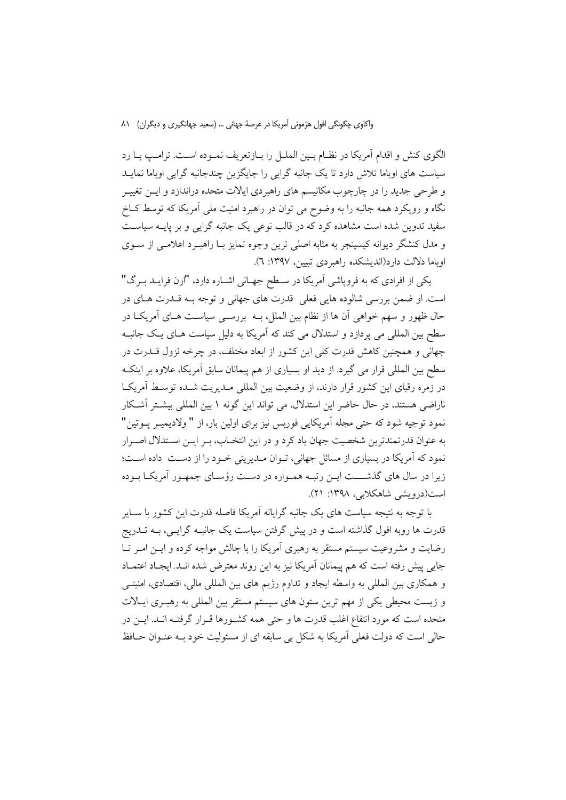الگوی کنش و اقدام آمریکا در نظـام بـین الملـل را بـازتعریف نمـوده اسـت. ترامـپ بـا رد سیاست های اوباما تلاش دارد تا یک جانبه گرایی را جایگزین چندجانبه گرایی اوباما نمایـد و طرحی جدید را در چارچوب مکانیسم های راهبردی ایالات متحده دراندازد و ایــن تغییــر .<br>نگاه و رویکرد همه جانبه را به وضوح می توان در راهبرد امنیت مل<sub>ی</sub> آمریکا که توسط کــاخ سفید تدوین شده است مشاهده کرد که در قالب نوعی یک جانبه گرایی و بر پایــه سیاســت و مدل کنشگر دیوانه کیسینجر به مثابه اصلی ترین وجوه تمایز بـا راهبـرد اعلامـی از سـوی اوباما دلالت دارد(اندیشکده راهبردی تبیین، ۱۳۹۷: ۲).

یکی از افرادی که به فروپاشی آمریکا در سطح جهـانی اشـاره دارد، "ارن فرایــد بـرگ" است. او ضمن بررسي شالوده هايي فعلي قدرت هاي جهاني و توجه بـه قــدرت هــاي در حال ظهور و سهم خواهی آن ها از نظام بین الملل، بــه بررســی سیاســت هــای آمریکــا در سطح بین المللی می پردازد و استدلال می کند که آمریکا به دلیل سیاست هـای یـک جانبـه جهانی و همچنین کاهش قدرت کلی این کشور از ابعاد مختلف، در چرخه نزول قــدرت در سطح بین المللی قرار می گیرد. از دید او بسیاری از هم پیمانان سابق آمریکا، علاوه بر اینک در زمره رقبای این کشور قرار دارند، از وضعیت بین المللی مـدیریت شـده توسـط آمریکـا ناراضی هستند، در حال حاضر این استدلال، می تواند این گونه ۱ بین المللی بیشتر آشکار نمود توجیه شود که حتی مجله آمریکایی فوربس نیز برای اولین بار، از " ولادیمیـر پــوتین" به عنوان قدرتمندترین شخصیت جهان یاد کرد و در این انتخـاب، بـر ایــن اســتدلال اصــرار نمود که آمریکا در بسیاری از مسائل جهانی، تـوان مـدیریتی خـود را از دسـت داده اسـت؛ زیرا در سال های گذشــــت ایــن رتبــه همــواره در دسـت رؤســای جمهــور آمریکــا بــوده است(درویشی شاهکلایی، ۱۳۹۸: ۲۱).

با توجه به نتیجه سیاست های یک جانبه گرایانه آمریکا فاصله قدرت این کشور با سـایر قدرت ها روبه افول گذاشته است و در پیش گرفتن سیاست یک جانبـه گرایـبی، بـه تــدریج رضایت و مشروعیت سیستم مستقر به رهبری آمریکا را با چالش مواجه کرده و ایـن امـر تـا جایی پیش رفته است که هم پیمانان آمریکا نیز به این روند معترض شده انــد. ایجــاد اعتمــاد و همکاری بین المللی به واسطه ایجاد و تداوم رژیم های بین المللی مالی، اقتصادی، امنیتـی و زیست محیطی یکی از مهم ترین ستون های سیستم مستقر بین المللی به رهبـری ایـالات متحده است كه مورد انتفاع اغلب قدرت ها و حتى همه كشـورها قـرار گرفتـه انـد. ايــن در حالي است كه دولت فعلي آمريكا به شكل بي سابقه اي از مسئوليت خود بـه عنـوان حـافظ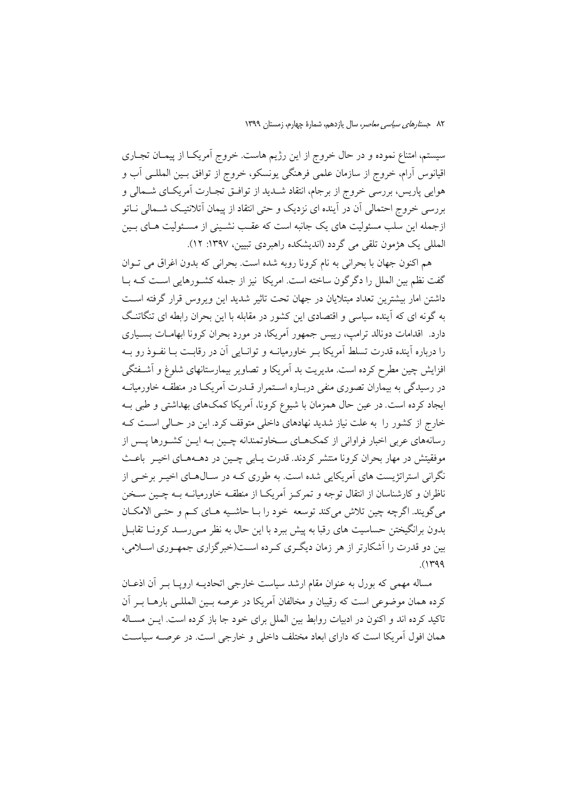سیستم، امتناع نموده و در حال خروج از این رژیم هاست. خروج آمریک) از پیمـان تجـاری اقیانوس آرام، خروج از سازمان علمی فرهنگی یونسکو، خروج از توافق بـین المللــی آب و هوایی پاریس، بررسی خروج از برجام، انتقاد شــدید از توافــق تجــارت آمریکــای شــمالی و بررسی خروج احتمالی آن در آینده ای نزدیک و حتی انتقاد از پیمان آتلانتیک شــمالی نــاتو ازجمله این سلب مسئولیت های یک جانبه است که عقب نشـینی از مسـئولیت هـای بـین العللي يک هژمون تلقى مى گردد (انديشکده راهبردى تبيين، ١٣٩٧: ١٢).

هم اکنون جهان با بحرانی به نام کرونا روبه شده است. بحرانی که بدون اغراق می تــوان گفت نظم بین الملل را دگر گون ساخته است. امریکا نیز از جمله کشـورهایی اسـت کـه بـا داشتن امار بیشترین تعداد مبتلایان در جهان تحت تاثیر شدید این ویروس قرار گرفته اسـت به گونه ای که آینده سیاسی و اقتصادی این کشور در مقابله با این بحران رابطه ای تنگاتنگ دارد. اقدامات دونالد ترامب، رییس جمهور آمریکا، در مورد بحران کرونا ابهامـات بسـیاری را درباره آینده قدرت تسلط آمریکا بـر خاورمیانــه و توانــایی آن در رقابــت بــا نفــوذ رو بــه افزایش چین مطرح کرده است. مدیریت بد آمریکا و تصاویر بیمارستانهای شلوغ و آشـفتگی در رسیدگی به بیماران تصوری منفی دربـاره اسـتمرار قــدرت آمریکـا در منطقــه خاورمیانــه ایجاد کرده است. در عین حال همزمان با شیوع کرونا، آمریکا کمکهای بهداشتی و طبی بـه خارج از کشور را به علت نیاز شدید نهادهای داخلی متوقف کرد. این در حـالی اسـت کـه رسانههای عربی اخبار فراوانی از کمکهـای سـخاوتمندانه چـین بـه ایـن کشـورها یـس از موفقیتش در مهار بحران کرونا منتشر کردند. قدرت پیابی چیین در دهـههـای اخیـر باعـث نگرانی استراتژیست های آمریکایی شده است. به طوری کـه در سـال۱هـای اخیـر برخـی از ناظران و کارشناسان از انتقال توجه و تمرک زآمریک از منطقـه خاورمیانــه بــه چــین ســخن مي گويند. اگرچه چين تلاش مي كند توسعه خود را بـا حاشـيه هـاي كـم و حتـي الامكـان بدون برانگیختن حساسیت های رقبا به پیش ببرد با این حال به نظر مـی(سـد کرونــا تقابــل بین دو قدرت را اَشکارتر از هر زمان دیگری کـرده اسـت(خبرگزاری جمهـوری اسـلامی،  $(1499)$ 

مساله مهمی که بورل به عنوان مقام ارشد سیاست خارجی اتحادیــه ارویــا بــر آن اذعــان كرده همان موضوعي است كه رقيبان و مخالفان آمريكا در عرصه بسين المللـي بارهــا بــر آن تاکید کرده اند و اکنون در ادبیات روابط بین الملل برای خود جا باز کرده است. ایــن مسـاله همان افول آمریکا است که دارای ابعاد مختلف داخلی و خارجی است. در عرصــه سیاســت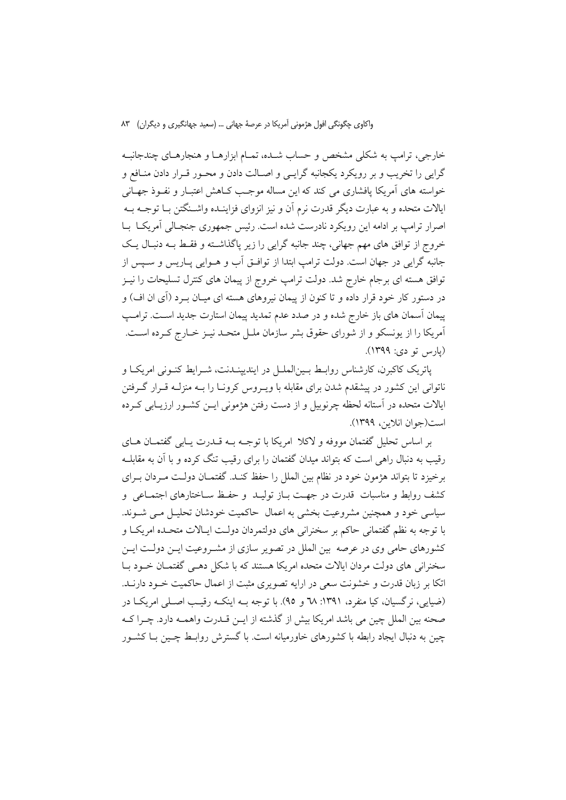خارجي، ترامب به شكلي مشخص و حساب شـده، تمـام ابزارهـا و هنجارهـاي چندجانبـه گرايي را تخريب و بر رويكرد يكجانبه گرايـي و اصـالت دادن و محـور قـرار دادن منــافع و خواسته های آمریکا یافشاری می کند که این مساله موجب کـاهش اعتبـار و نفـوذ جهـانی ایالات متحده و به عبارت دیگر قدرت نرم آن و نیز انزوای فزاینـده واشـنگتن بـا توجــه بــه اصرار ترامپ بر ادامه این رویکرد نادرست شده است. رئیس جمهوری جنجـالی آمریکـا بـا خروج از توافق های مهم جهانی، چند جانبه گرایی را زیر پاگذاشته و فقط بـه دنبـال یـک جانبه گرايي در جهان است. دولت ترامپ ابتدا از توافــق آب و هــوايي پــاريس و ســيس از توافق هسته ای برجام خارج شد. دولت ترامپ خروج از پیمان های کنترل تسلیحات را نیـز در دستور کار خود قرار داده و تا کنون از پیمان نیروهای هسته ای میـان بــرد (آی ان اف) و پیمان آسمان های باز خارج شده و در صدد عدم تمدید پیمان استارت جدید اسـت. ترامـپ آمریکا را از یونسکو و از شورای حقوق بشر سازمان ملـل متحـد نیـز خـارج کـرده اسـت. (يارس تو دی: ١٣٩٩).

پاتریک کاکبرن، کارشناس روابط بـینالملـل در ایندیپنـدنت، شـرایط کنـونی امریکـا و ناتوانی این کشور در پیشقدم شدن برای مقابله با ویــروس کرونــا را بــه منزلــه قــرار گــرفتن ایالات متحده در آستانه لحظه چرنوبیل و از دست رفتن هژمونی ایــن کشــور ارزیــابی کــرده است(جوان انلاس، ١٣٩٩).

بر اساس تحليل گفتمان مووفه و لاكلا امريكا با توجــه بــه قـــدرت پــابي گفتمــان هــاي رقیب به دنبال راهی است که بتواند میدان گفتمان را برای رقیب تنگ کرده و با آن به مقابلـه برخیزد تا بتواند هژمون خود در نظام بین الملل را حفظ کنـد. گفتمـان دولـت مـردان بـرای کشف روابط و مناسبات قدرت در جهت بـاز تولیـد و حفـظ سـاختارهای اجتمـاعی و سیاسی خود و همچنین مشروعیت بخشی به اعمال حاکمیت خودشان تحلیـل مـی شـوند. با توجه به نظم گفتمانی حاکم بر سخنرانی های دولتمردان دولت ایـالات متحـده امریکـا و کشورهای حامی وی در عرصه بین الملل در تصویر سازی از مشـروعیت ایــن دولــت ایــن سخنرانی های دولت مردان ایالات متحده امریکا هستند که با شکل دهـی گفتمـان خـود بـا اتکا بر زبان قدرت و خشونت سعی در ارایه تصویری مثبت از اعمال حاکمیت خـود دارنــد. (ضیایی، نرگسیان، کیا منفرد، ۱۳۹۱: ٦٨ و ٩٥). با توجه بـه اینکـه رقیـب اصـلی امریکـا در صحنه بين الملل چين مي باشد امريكا بيش از گذشته از ايـن قــدرت واهمــه دارد. چــرا كــه چین به دنبال ایجاد رابطه با کشورهای خاورمیانه است. با گسترش روابـط چـین بـا کشـور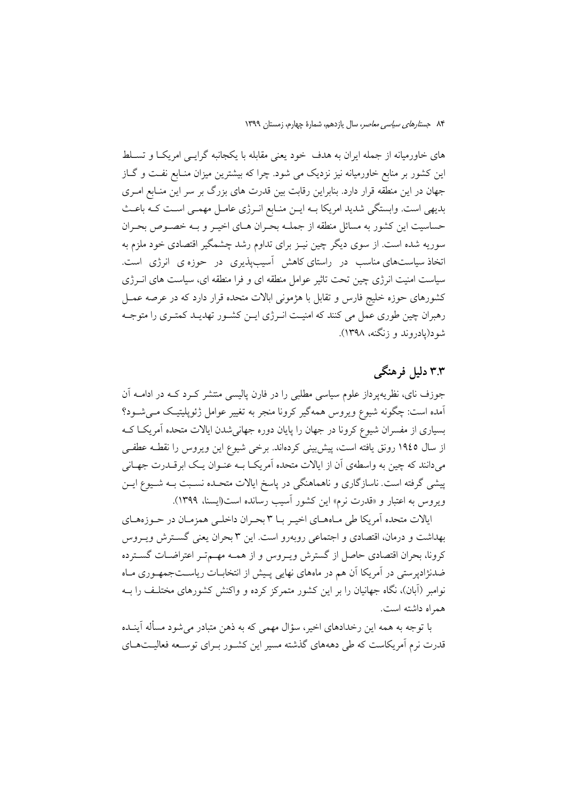های خاورمیانه از جمله ایران به هدف خود یعنی مقابله با یکجانبه گرایـبی امریکـا و تسـلط این کشور بر منابع خاورمیانه نیز نزدیک می شود. چرا که بیشترین میزان منـابع نفـت و گــاز جهان در این منطقه قرار دارد. بنابراین رقابت بین قدرت های بزرگ بر سر این منـابع امـری بدیهی است. وابستگی شدید امریکا بـه ایــن منـابع انــرژی عامــل مهمــی اسـت کــه باعــث حساسیت این کشور به مسائل منطقه از جملـه بحـران هـای اخیـر و بـه خصـوص بحـران سوریه شده است. از سوی دیگر چین نیـز برای تداوم رشد چشمگیر اقتصادی خود ملزم به اتخاذ سیاستهای مناسب در راستای کاهش آسیبپذیری در حوزه ی انرژی است. سیاست امنیت انرژی چین تحت تاثیر عوامل منطقه ای و فرا منطقه ای، سیاست های انــرژی کشورهای حوزه خلیج فارس و تقابل با هژمونی ابالات متحده قرار دارد که در عرصه عمــل رهبران چین طوری عمل می کنند که امنیت انـرژی ایـن کشـور تهدیـد کمتـری را متوجـه شود(یادروند و زنگنه، ۱۳۹۸).

# ۳.۳ دلیل فرهنگی

جوزف نای، نظریه پرداز علوم سیاسی مطلبی را در فارن پالیسی منتشر کـرد کــه در ادامــه آن ۔<br>آمدہ است: چگونه شیوع ویروس همهگیر کرونا منجر به تغییر عوامل ژئوپلیتیک مے شـود؟ بسیاری از مفسران شیوع کرونا در جهان را پایان دوره جهانی شدن ایالات متحده آمریک اک از سال ١٩٤٥ رونق يافته است، پيش بيني كردهاند. برخي شيوع اين ويروس را نقطـه عطفـي می دانند که چین به واسطهی آن از ایالات متحده آمریکـا بــه عنــوان یــک ابرقــدرت جهــانی پیشی گرفته است. ناسازگاری و ناهماهنگی در پاسخ ایالات متحـده نسـبت بـه شـیوع ایـن ویروس به اعتبار و «قدرت نرم» این کشور آسیب رسانده است(ایسنا، ۱۳۹۹).

ایالات متحده اَمریکا طی مـاههـای اخیـر بــا ۳ بحـران داخلــی همزمـان در حــوزههـای بهداشت و درمان، اقتصادی و اجتماعی روبهرو است. این ۳ بحران یعنی گســترش ویــروس كرونا، بحران اقتصادي حاصل از گسترش ويـروس و از همـه مهـمتـر اعتراضـات گسـترده ضدنژادیرستی در آمریکا آن هم در ماههای نهایی پیش از انتخابــات ریاســتجمهـوری مــاه نوامبر (آبان)، نگاه جهانیان را بر این کشور متمرکز کرده و واکنش کشورهای مختلـف را بــه همراه داشته است.

با توجه به همه این رخدادهای اخیر، سؤال مهمی که به ذهن متبادر می شود مسأله آینـده قدرت نرم آمریکاست که طی دهههای گذشته مسیر این کشـور بـرای توسـعه فعالیـتهـای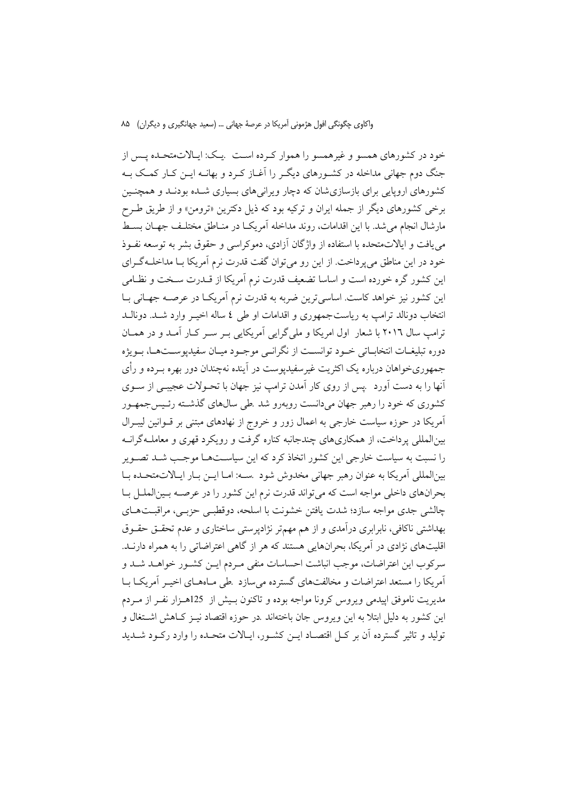خود در کشورهای همسو و غیرهمسو را هموار کـرده اسـت بیـک: ایـالاتمتحـده پـس از جنگ دوم جهانی مداخله در کشـورهای دیگـر را آغـاز کـرد و بهانـه ایــن کـار کمــک بــه کشورهای اروپایی برای بازسازیشان که دچار ویرانی های بسیاری شـده بودنـد و همچنـین برخي كشورهاي ديگر از جمله ايران و تركيه بود كه ذيل دكترين «ترومن» و از طريق طـرح مارشال انجام می شد. با این اقدامات، روند مداخله آمریک ادر منـاطق مختلـف جهـان بسـط می یافت و ایالاتمتحده با استفاده از واژگان آزادی، دموکراسی و حقوق بشر به توسعه نفـوذ خود در این مناطق می پرداخت. از این رو می توان گفت قدرت نرم آمریکا بـا مداخلـه گـرای این کشور گره خورده است و اساسا تضعیف قدرت نرم آمریکا از قــدرت ســخت و نظــامی این کشور نیز خواهد کاست. اساسی ترین ضربه به قدرت نرم آمریکـا در عرصــه جهـانی بـا انتخاب دونالد ترامب به رياستجمهوري و اقدامات او طي ٤ ساله اخيـر وارد شـد. دونالـد ترامب سال ۲۰۱٦ با شعار اول امریکا و ملی گرایی آمریکایی بـر سـر کـار آمـد و در همـان دوره تبليغــات انتخابــاتي خــود توانســت از نگرانــي موجــود ميــان سفيديوســتهــا، بــويژه جمهوري خواهان درباره يک اکثريت غير سفيديوست در آينده نهچندان دور بهره بــرده و رأى آنها را به دست آورد بیس از روی کار آمدن ترامپ نیز جهان با تحـولات عجیبـی از سـوی کشوری که خود را رهبر جهان میدانست روبهرو شد .طی سالهای گذشــته رئـيسجمهـور آمریکا در حوزه سیاست خارجی به اعمال زور و خروج از نهادهای مبتنی بر قــوانین لیبــرال بینالمللی پرداخت، از همکاریهای چندجانبه کناره گرفت و رویکرد قهری و معاملـهگرانــه را نسبت به سیاست خارجی این کشور اتخاذ کرد که این سیاسـتهـا موجـب شـد تصـویر بينالمللي أمريكا به عنوان رهبر جهاني مخدوش شود بسـه: امـا ايــن بـار ايـالاتمتحـده بـا بحرانهای داخلی مواجه است که می تواند قدرت نرم این کشور را در عرصـه بـینالملـل بـا چالشی جدی مواجه سازد؛ شدت یافتن خشونت با اسلحه، دوقطبی حزبی، مراقبتهای بهداشتی ناکافی، نابرابری درآمدی و از هم مهمتر نژادیرستی ساختاری و عدم تحقـق حقـوق اقلیتهای نژادی در آمریکا، بحرانهایی هستند که هر از گاهی اعتراضاتی را به همراه دارنــد. سركوب اين اعتراضات، موجب انباشت احساسات منفي مـردم ايــن كشــور خواهــد شــد و آمریکا را مستعد اعتراضات و مخالفتهای گسترده میسازد .طی مـاههـای اخیـر آمریکـا بـا مدیریت ناموفق اپیدمی ویروس کرونا مواجه بوده و تاکنون بـیش از 125هـزار نفـر از مـردم این کشور به دلیل ابتلا به این ویروس جان باختهاند .در حوزه اقتصاد نیـز کـاهش اشـتغال و توليد و تاثير گسترده آن بر كـل اقتصـاد ايــن كشــور، ايــالات متحــده را وارد ركــود شــديد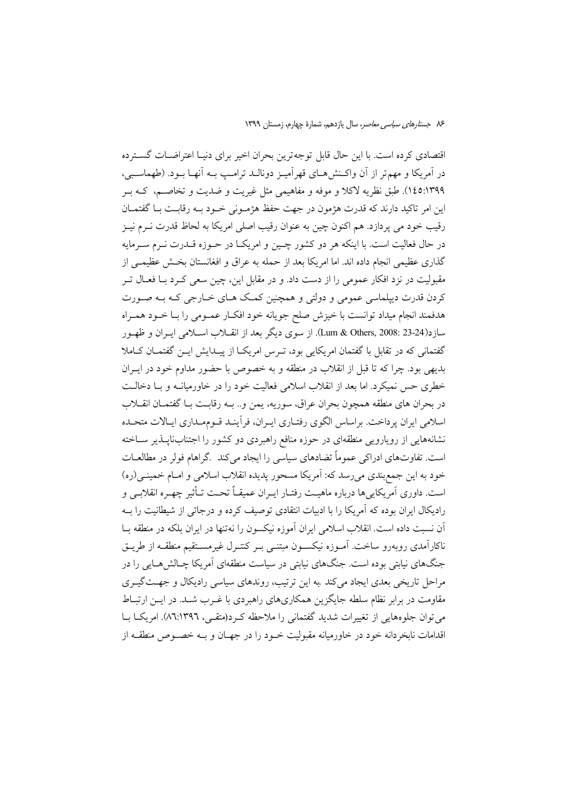اقتصادی کرده است. با این حال قابل توجه ترین بحران اخیر برای دنیـا اعتراضـات گسـترده در اَمریکا و مهمتر از اَن واکـنش۵هـای قهراَمیـز دونالـد ترامـب بـه اَنهـا بـود. (طهماسـبی، ١٤٥:١٣٩٩). طبق نظريه لاكلا و موفه و مفاهيمي مثل غيريت و ضديت و تخاصـم، كـه بـر این امر تاکید دارند که قدرت هژمون در جهت حفظ هژمـونی خـود بـه رقابـت بـا گفتمـان رقیب خود می پردازد. هم اکنون چین به عنوان رقیب اصلی امریکا به لحاظ قدرت نـرم نیـز در حال فعالیت است. با اینکه هر دو کشور چـین و امریکـا در حـوزه قــدرت نــرم ســرمایه گذاری عظیمی انجام داده اند. اما امریکا بعد از حمله به عراق و افغانستان بخـش عظیمـی از مقبولیت در نزد افکار عمومی را از دست داد. و در مقابل این، چین سعی کـرد بــا فعــال تــر کردن قدرت دیپلماسی عمومی و دولتی و همچنین کمک هـای خـارجی کـه بـه صـورت هدفمند انجام میداد توانست با خیزش صلح جویانه خود افکـار عمـومی را بـا خـود همـراه سازد(23-24 :Lum & Others, 2008). از سوى ديگر بعد از انقــلاب اســلامى ايــران و ظهــور گفتمانی که در تقابل با گفتمان امریکایی بود، تـرس امریکـا از پیـدایش ایــن گفتمــان کــاملا بديهي بود. چرا كه تا قبل از انقلاب در منطقه و به خصوص با حضور مداوم خود در ايبران خطری حس نمیکرد. اما بعد از انقلاب اسلامی فعالیت خود را در خاورمیانــه و بــا دخالــت در بحران هاي منطقه همچون بحران عراق، سوريه، يمن و.. بــه رقابـت بــا گفتمــان انقــلاب اسلامی ایران پرداخت. براساس الگوی رفتـاری ایـران، فرآینـد قـوممـداری ایـالات متحـده نشانههایی از رویارویی منطقهای در حوزه منافع راهبردی دو کشور را اجتنابناپلذیر سـاخته است. تفاوتهای ادراکی عموماً تضادهای سیاسی را ایجاد می کند گراهام فولر در مطالعـات خود به این جمع بندی می رسد که: آمریکا مسحور پدیده انقلاب اسلامی و امـام خمینـی(ره) است. داوری آمریکاییها درباره ماهیـت رفتـار ایــران عمیقـاً تحـت تـأثیر چهــره انقلابــی و رادیکال ایران بوده که آمریکا را با ادبیات انتقادی توصیف کرده و درجاتی از شیطانیت را بــه آن نسبت داده است. انقلاب اسلامی ایران آموزه نیکسون را نهتنها در ایران بلکه در منطقه بــا ناکارآمدی روبهرو ساخت. آمــوزه نیکســون مبتنــی بــر کنتــرل غیرمســتقیم منطقــه از طریــق جنگهای نیابتی بوده است. جنگهای نیابتی در سیاست منطقهای آمریکا چـالش۵هـایی را در مراحل تاریخی بعدی ایجاد میکند به این ترتیب، روندهای سیاسی رادیکال و جهتگیری مقاومت در برابر نظام سلطه جایگزین همکاریهای راهبردی با غـرب شـد. در ایــن ارتبــاط می توان جلوههایی از تغییرات شدید گفتمانی را ملاحظه که د(متقبی، ۸٦:۱۳۹٦). امریکیا بیا اقدامات نابخردانه خود در خاورمیانه مقبولیت خـود را در جهـان و بــه خصـوص منطقــه از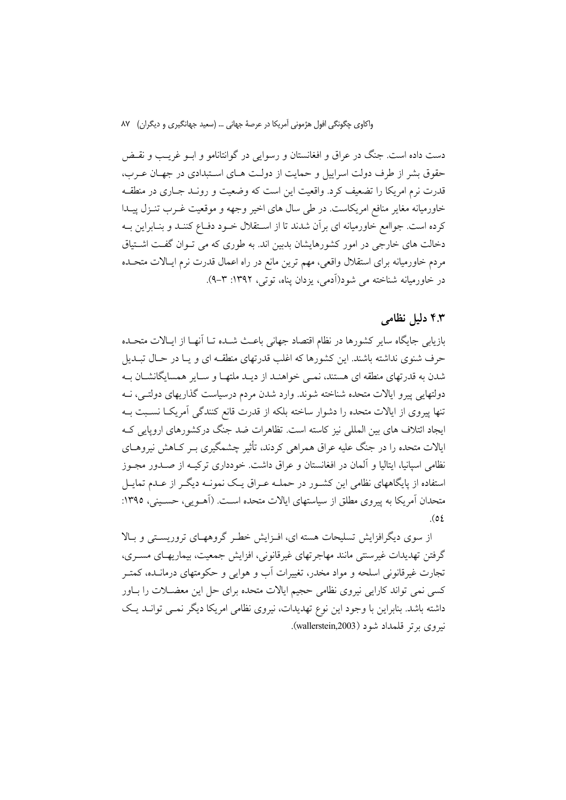دست داده است. جنگ در عراق و افغانستان و رسوایی در گوانتانامو و ابــو غریــب و نقــض حقوق بشر از طرف دولت اسراییل و حمایت از دولت هـای اسـتبدادی در جهـان عـرب، قدرت نرم امریکا را تضعیف کرد. واقعیت این است که وضعیت و رونـد جــاری در منطقــه خاورمیانه مغایر منافع امریکاست. در طی سال های اخیر وجهه و موقعیت غـرب تنـزل پیـدا کرده است. جواامع خاورمیانه ای بر آن شدند تا از اسـتقلال خــود دفــاع کننــد و بنــابراین بــه دخالت های خارجی در امور کشورهایشان بدبین اند. به طوری که می تـوان گفـت اشـتیاق مردم خاورمیانه برای استقلال واقعی، مهم ترین مانع در راه اعمال قدرت نرم ایـالات متحــده در خاورمیانه شناخته می شود(آدمی، یزدان یناه، توتی، ۱۳۹۲: ۳–۹).

## ۴.۳ دلیل نظامی

بازیابی جایگاه سایر کشورها در نظام اقتصاد جهانی باعث شـده تــا اَنهــا از ایــالات متحـده حرف شنوی نداشته باشند. این کشورها که اغلب قدرتهای منطقـه ای و یـا در حـال تبــدیل شدن به قدرتهای منطقه ای هستند، نمـی خواهنـد از دیـد ملتهـا و سـایر همسایگانشـان بـه دولتهایی پیرو ایالات متحده شناخته شوند. وارد شدن مردم درسیاست گذاریهای دولتـی، نــه تنها پیروی از ایالات متحده را دشوار ساخته بلکه از قدرت قانع کنندگی آمریکI نسبت بـه ایجاد ائتلاف های بین المللی نیز کاسته است. تظاهرات ضد جنگ درکشورهای اروپایی ک ایالات متحده را در جنگ علیه عراق همراهی کردند، تأثیر چشمگیری بـر کـاهش نیروهـای نظامی اسپانیا، ایتالیا و آلمان در افغانستان و عراق داشت. خودداری ترکیــه از صــدور مجــوز استفاده از پایگاههای نظامی این کشـور در حملـه عـراق یـک نمونـه دیگـر از عـدم تمایـل متحدان آمریکا به پیروی مطلق از سیاستهای ایالات متحده اسـت. (آهــویی، حســینی، ۱۳۹۵:  $(01)$ 

از سوی دیگرافزایش تسلیحات هسته ای، افـزایش خطـر گروههـای تروریسـتی و بـالا گرفتن تهديدات غيرسنتي مانند مهاجر تهاي غيرقانوني، افزايش جمعيت، بيماريهـاي مسـري، تجارت غیرقانونی اسلحه و مواد مخدر، تغییرات آب و هوایی و حکومتهای درمانــده، کمتــر کسی نمی تواند کارایی نیروی نظامی حجیم ایالات متحده برای حل این معضـلات را بــاور داشته باشد. بنابراین با وجود این نوع تهدیدات، نیروی نظامی امریکا دیگر نمبی توانـد یـک نيږوي برتر قلمداد شود (wallerstein,2003).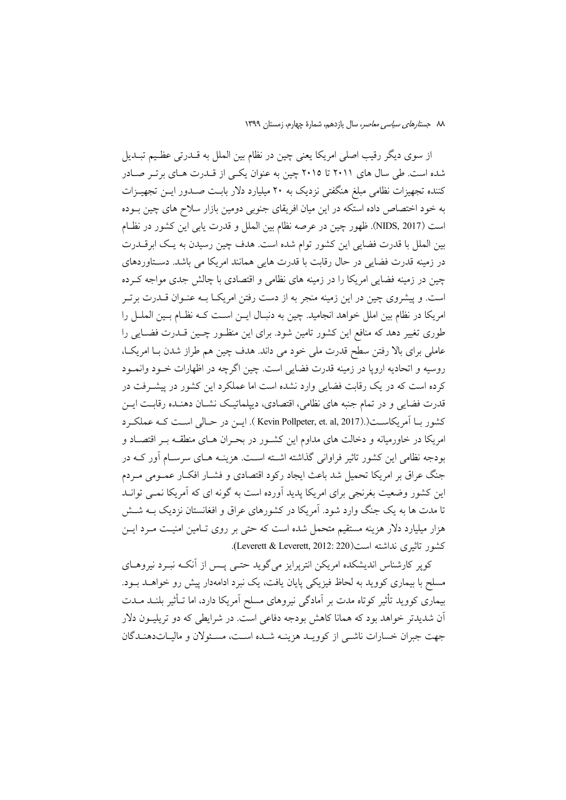از سوی دیگر رقیب اصلی امریکا یعنی چین در نظام بین الملل به قــدرتی عظـیم تبــدیل شده است. طی سال های ۲۰۱۱ تا ۲۰۱۵ چین به عنوان یکی از قــدرت هـای برتـر صـادر کننده تجهیزات نظامی مبلغ هنگفتی نزدیک به ۲۰ میلیارد دلار بابـت صــدور ایــن تجهیــزات به خود اختصاص داده استکه در این میان افریقای جنوبی دومین بازار سلاح های چین بـوده است (NIDS, 2017). ظهور چین در عرصه نظام بین الملل و قدرت یابی این کشور در نظام بین الملل با قدرت فضایی این کشور توام شده است. هدف چین رسیدن به یک ابرقــدرت در زمینه قدرت فضایی در حال رقابت با قدرت هایی همانند امریکا می باشد. دستاوردهای چین در زمینه فضایی امریکا را در زمینه های نظامی و اقتصادی با چالش جدی مواجه کـرده است. و پیشروی چین در این زمینه منجر به از دست رفتن امریکـا بـه عنـوان قــدرت برتـر امریکا در نظام بین املل خواهد انجامید. چین به دنبـال ایــن اسـت کــه نظـام بــین الملــل را طوری تغییر دهد که منافع این کشور تامین شود. برای این منظـور چـین قــدرت فضــایی را عاملی برای بالا رفتن سطح قدرت ملی خود می داند. هدف چین هم طراز شدن بـا امریکـا، روسيه و اتحاديه ارويا در زمينه قدرت فضايي است. چين اگرچه در اظهارات خــود وانمــود کرده است که در یک رقابت فضایی وارد نشده است اما عملکرد این کشور در پیشـرفت در قدرت فضایی و در تمام جنبه های نظامی، اقتصادی، دیپلماتیک نشـان دهنـده رقابـت ایــن كشور بـا آمريكاسـت(.(Kevin Pollpeter, et. al, 2017 ). ايــن در حـالي اسـت كـه عملكـرد امریکا در خاورمیانه و دخالت های مداوم این کشـور در بحـران هـای منطقــه بــر اقتصــاد و بودجه نظامی این کشور تاثیر فراوانی گذاشته اشته است. هزینـه هـای سرسـام آور کــه در جنگ عراق بر امریکا تحمیل شد باعث ایجاد رکود اقتصادی و فشـار افکـار عمـومی مـردم این کشور وضعیت بغرنجی برای امریکا پدید آورده است به گونه ای که آمریکا نمـی توانـد تا مدت ها به یک جنگ وارد شود. آمریکا در کشورهای عراق و افغانستان نزدیک بــه شــش هزار میلیارد دلار هزینه مستقیم متحمل شده است که حتی بر روی تـامین امنیـت مـرد ایــن كشور تاثيري نداشته است(Leverett & Leverett, 2012: 220).

کوپر کارشناس اندیشکده امریکن انترپرایز میگوید حتـی پـس از آنکـه نبـرد نیروهـای مسلح با بیماری کووید به لحاظ فیزیکی پایان یافت، یک نبرد ادامهدار پیش رو خواهـد بـود. بیماری کووید تأثیر کوتاه مدت بر آمادگی نیروهای مسلح آمریکا دارد، اما تـأثیر بلنــد مــدت آن شدیدتر خواهد بود که همانا کاهش بودجه دفاعی است. در شرایطی که دو تریلیــون دلار جهت جبران خسارات ناشبي از كوويـد هزينـه شـده اسـت، مسـئولان و ماليـاتدهنـدگان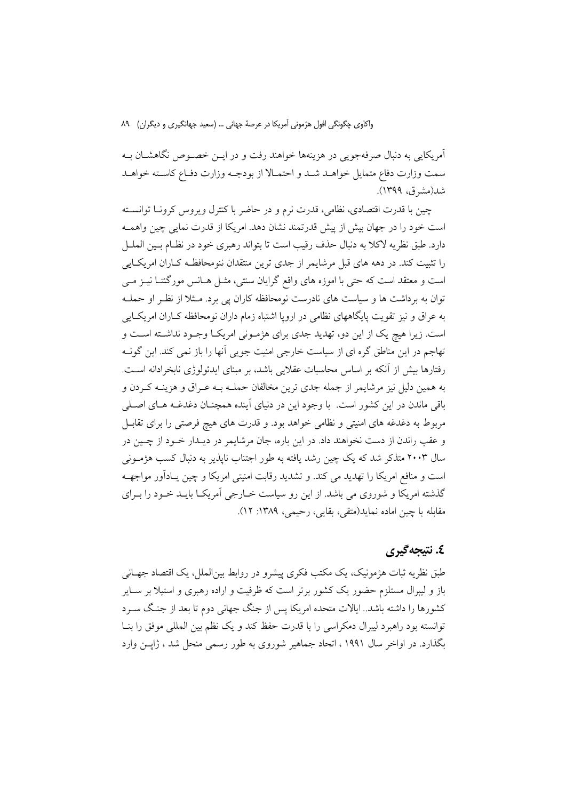آمریکایی به دنبال صرفهجویی در هزینهها خواهند رفت و در ایــن خصــوص نگاهشــان بــه سمت وزارت دفاع متمايل خواهـد شـد و احتمـالا از بودجـه وزارت دفـاع كاسـته خواهـد شد(مشرق، ۱۳۹۹).

چین با قدرت اقتصادی، نظامی، قدرت نرم و در حاضر با کنترل ویروس کرونـا توانســته است خود را در جهان بیش از پیش قدرتمند نشان دهد. امریکا از قدرت نمایی چین واهمـه دارد. طبق نظريه لاكلا به دنبال حذف رقيب است تا بتواند رهبري خود در نظـام بـين الملــل را تثبیت کند. در دهه های قبل مرشایمر از جدی ترین منتقدان ننومحافظـه کـاران امریکـایی است و معتقد است که حتی با اموزه های واقع گرایان سنتی، مثـل هـانس مورگنتـا نيـز مـی توان به برداشت ها و سیاست های نادرست نومحافظه کاران یی برد. مـثلا از نظـر او حملـه به عراق و نیز تقویت پایگاههای نظامی در اروپا اشتباه زمام داران نومحافظه کـاران امریکـایی است. زیرا هیچ یک از این دو، تهدید جدی برای هژمونی امریکا وجـود نداشـته اسـت و تهاجم در این مناطق گره ای از سیاست خارجی امنیت جویی آنها را باز نمی کند. این گونـه رفتارها بیش از آنکه بر اساس محاسبات عقلایی باشد، بر مبنای ایدئولوژی نابخرادانه است. به همین دلیل نیز مرشایمر از جمله جدی ترین مخالفان حملـه بــه عــراق و هزینــه کــردن و باقی ماندن در این کشور است. با وجود این در دنیای آینده همچنان دغدغـه هـای اصـلی مربوط به دغدغه های امنیتی و نظامی خواهد بود. و قدرت های هیچ فرصتی را برای تقابـل و عقب راندن از دست نخواهند داد. در این باره، جان مرشایمر در دیـدار خـود از چـین در سال ۲۰۰۳ متذکر شد که یک چین رشد یافته به طور اجتناب ناپذیر به دنبال کسب هژمــونی است و منافع امریکا را تهدید می کند. و تشدید رقابت امنیتی امریکا و چین پـادآور مواجهــه گذشته امریکا و شوروی می باشد. از این رو سیاست خـارجی آمریکـا بایـد خـود را بـرای مقابله با چین اماده نماید(متقی، بقایی، رحیمی، ۱۳۸۹: ۱۲).

## ٤. نتىجەگىرى

طبق نظریه ثبات هژمونیک، یک مکتب فکری پیشرو در روابط بین|لملل، یک اقتصاد جهـانی باز و لیبرال مستلزم حضور یک کشور برتر است که ظرفیت و اراده رهبری و استیلا بر ســایر کشورها را داشته باشد.. ایالات متحده امریکا پس از جنگ جهانی دوم تا بعد از جنگ ســرد توانسته بود راهبرد ليبرال دمكراسي را با قدرت حفظ كند و يك نظم بين المللي موفق را بنــا بگذارد. در اواخر سال ۱۹۹۱ ، اتحاد جماهیر شوروی به طور رسمی منحل شد ، ژاپــن وارد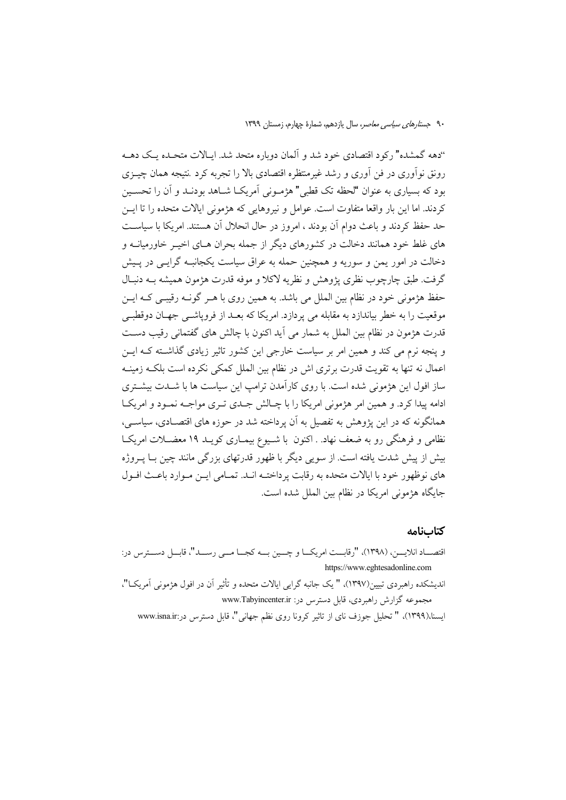"دهه گمشده" رکود اقتصادی خود شد و آلمان دوباره متحد شد. ایـالات متحـده یـک دهــه رونق نوآوری در فن آوری و رشد غیرمنتظره اقتصادی بالا را تجربه کرد نتیجه همان چیــزی بود که بسیاری به عنوان "لحظه تک قطبی" هژمـونی اَمریکـا شــاهد بودنــد و اَن را تحســین كردند. اما اين بار واقعا متفاوت است. عوامل و نيروهايي كه هژموني ايالات متحده را تا ايــن حد حفظ کردند و باعث دوام آن بودند ، امروز در حال انحلال آن هستند. امریکا با سیاست های غلط خود همانند دخالت در کشورهای دیگر از جمله بحران هـای اخیــر خاورمیانــه و دخالت در امور یمن و سوریه و همچنین حمله به عراق سیاست یکجانبـه گرایــی در پــیش گرفت. طبق چارچوب نظري يژوهش و نظريه لاكلا و موفه قدرت هژمون هميشه بــه دنبـال حفظ هژمونی خود در نظام بین الملل می باشد. به همین روی با هـر گونـه رقیبـی کـه ایـن موقعیت را به خطر بیاندازد به مقابله می پردازد. امریکا که بعـد از فروپاشــی جهـان دوقطبــی قدرت هژمون در نظام بین الملل به شمار می آید اکنون با چالش های گفتمانی رقیب دست و پنجه نرم می کند و همین امر بر سیاست خارجی این کشور تاثیر زیادی گذاشته کـه ایــن اعمال نه تنها به تقويت قدرت برتري اش در نظام بين الملل كمكي نكرده است بلكـه زمينـه ساز افول این هژمونی شده است. با روی کارآمدن ترامپ این سیاست ها با شــدت بیشــتری ادامه پیدا کرد. و همین امر هژمونی امریکا را با چـالش جـدی تـری مواجـه نمـود و امریکـا همانگونه که در این پژوهش به تفصیل به آن پرداخته شد در حوزه های اقتصـادی، سیاســی، نظامی و فرهنگی رو به ضعف نهاد. . اکنون با شـیوع بیمـاری کویـد ۱۹ معضـلات امریکـا بیش از پیش شدت یافته است. از سویی دیگر با ظهور قدرتهای بزرگی مانند چین بــا پــروژه های نوظهور خود با ایالات متحده به رقابت پرداختـه انــد. تمــامی ایــن مــوارد باعــث افــول جايگاه هژموني امريكا در نظام بين الملل شده است.

#### كتابنامه

| اقتصــاد انلايـــن، (١٣٩٨)، "رقابـــت امريكــا و چـــين بـــه كجــا مـــي رســـد"، قابــل دســـترس در: |
|--------------------------------------------------------------------------------------------------------|
| https://www.eghtesadonline.com                                                                         |
| اندیشکده راهبردی تبیین(۱۳۹۷)، " یک جانبه گرایی ایالات متحده و تأثیر آن در افول هژمونی آمریکـا"،        |
| مجموعه گزارش راهبردی، قابل دسترس در: www.Tabyincenter.ir                                               |
| ایسنا،(۱۳۹۹)، " تحلیل جوزف نای از تاثیر کرونا روی نظم جهانی"، قابل دسترس در:www.isna.ir                |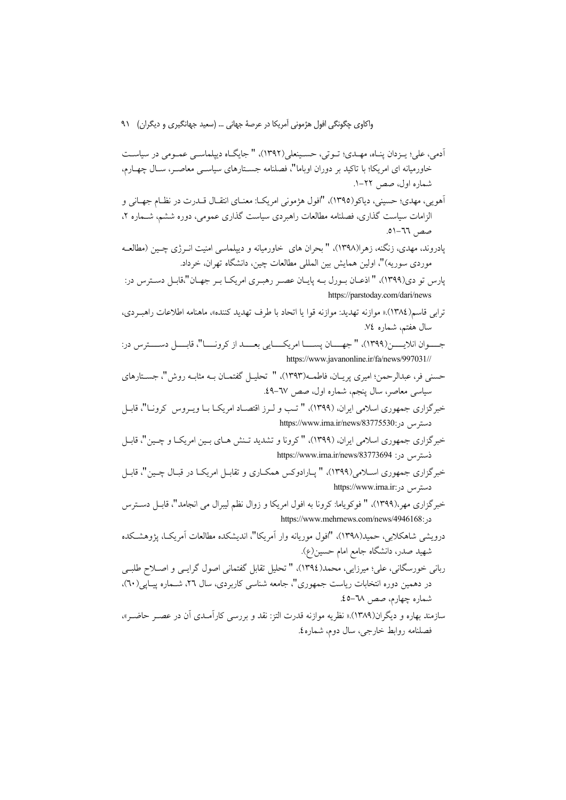- أدمى، على؛ يــزدان پنــاه، مهــدى؛ تــوتى، حســينعلى(١٣٩٢)، " جايگــاه ديپلماســي عمــومى در سياســت خاورمیانه ای امریکا؛ با تاکید بر دوران اوباما"، فصلنامه جسـتارهای سیاســی معاصــر، ســال چهــارم، شماره اول، صص ۲۲–۱.
- أهويي، مهدي؛ حسيني، دياكو(١٣٩٥)، "افول هژموني امريكـا: معنــاي انتقــال قــدرت در نظــام جهــاني و الزامات سیاست گذاری، فصلنامه مطالعات راهبردی سیاست گذاری عمومی، دوره ششم، شـماره ۲،  $61 - 77$ .
- پادروند، مهدی، زنگنه، زهرا(۱۳۹۸)، " بحران های خاورمیانه و دیپلماسی امنیت انــرژی چــین (مطالعــه موردی سوریه)"، اولین همایش بین المللی مطالعات چین، دانشگاه تهران، خرداد.
- پارس تو دي(١٣٩٩)، " اذعـان بـورل بــه پايــان عصــر رهبـري امريكــا بـر جهــان"،قابــل دســترس در: https://parstoday.com/dari/news
- ترابي قاسم(١٣٨٤).« موازنه تهديد: موازنه قوا يا اتحاد با طرف تهديد كننده»، ماهنامه اطلاعات راهب دي، سال هفتم، شماره ٧٤.
- جــــوان انلايــــــن(١٣٩٩)، " جهــــان پســـــا امريكـــــايي بعـــــد از كرونــــا"، قابـــــل دســــترس در: https://www.javanonline.ir/fa/news/997031//
- حسنی فر، عبدالرحمن؛ امیری پریــان، فاطمــه(١٣٩٣)، " تحلیــل گفتمــان بــه مثابــه روش"، جســتارهای سياسي معاصر، سال ينجم، شماره اول، صص ٦٧-٤٩.
- خبرگزاری جمهوری اسلامی ایران، (۱۳۹۹)، " تب و لـرز اقتصـاد امریکـا بـا ویـروس کرونـا"، قابـل https://www.irna.ir/news/83775530: &9'
- خبرگزاری جمهوری اسلامی ایران، (۱۳۹۹)، "کرونا و تشدید تـنش هـای بـین امریکـا و چـین"، قابـل https://www.irna.ir/news/83773694 : ذَستو س در
- خبرگزاري جمهوري اسـلامي(۱۳۹۹)، " پـارادوكس همكـاري و تقابـل امريكـا در قبـال چــين"، قابـل https://www.irna.ir: دستو س
- خبرگزاری مهر،(۱۳۹۹)، " فوکویاما: کرونا به افول امریکا و زوال نظم لیبرال می انجامد"، قابـل دسـترس https://www.mehrnews.com/news/4946168:
- درويشي شاهكلابي، حميد(١٣٩٨)، "افول موريانه وار آمريكا"، انديشكده مطالعات آمريكـا، يژوهشـكده شهید صدر، دانشگاه جامع امام حسین(ع).
- ربانی خورسگانی، علی؛ میرزایی، محمد(١٣٩٤)، " تحلیل تقابل گفتمانی اصول گرایبی و اصـلاح طلبـی در دهمین دوره انتخابات ریاست جمهوری"، جامعه شناسی کاربردی، سال ۲۲، شــماره پیــاپی(٦٠)، شماره چهارم، صص ٦٨–٤٥.
- سازمند بهاره و دیگران(۱۳۸۹).« نظریه موازنه قدرت التز: نقد و بررسی کارآمــدی أن در عصــر حاضــر»، فصلنامه روابط خارجي، سال دوم، شماره٤.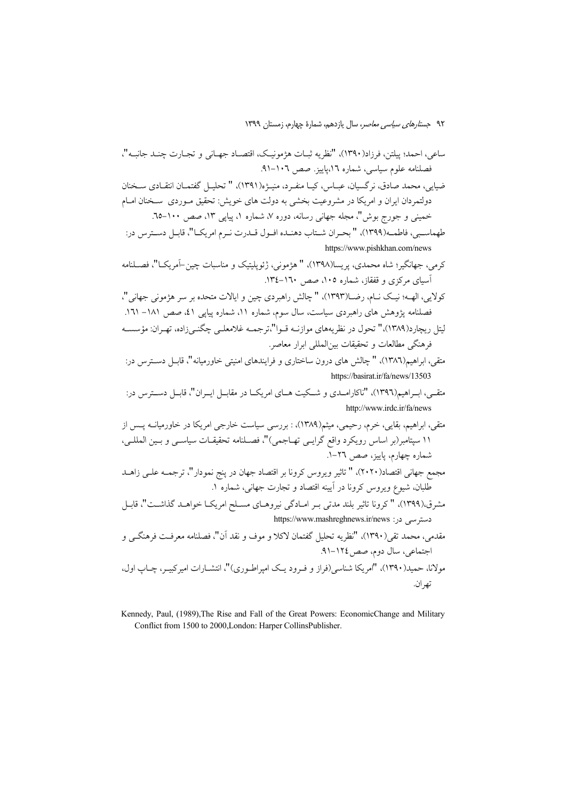ضيايي، محمد صادق، نرگسيان، عبــاس، كيــا منفــرد، منيــۋە(١٣٩١)، " تحليــل گفتمــان انتقــادي ســخنان دولتمردان ایران و امریکا در مشروعیت بخشی به دولت های خویش: تحقیق مـوردی سـخنان امـام خمینی و جورج بوش"، مجله جهانی رسانه، دوره ۷، شماره ۱، پیاپی ۱۳، صص ۱۰۰-٦۵.

طهماسـبي، فاطمـه(١٣٩٩)، " بحـران شـتاب دهنـده افـول قـدرت نـرم امريكـا"، قابـل دسـترس در: https://www.pishkhan.com/news

كولايي، الهــه؛ نيــك نــام، رضــا(١٣٩٣)، " چالش راهيردي چين و ايالات متحده بر سر هۋموني جهاني "، فصلنامه یژوهش های راهبردی سیاست، سال سوم، شماره ۱۱، شماره پیایی ٤١، صص ١٨١– ١٦١. لیتل ریچارد(۱۳۸۹)،" تحول در نظریههای موازنـه قـوا"،ترجمـه غلامعلـی چگنـی;(اده، تهـران: مؤسسـه فرهنگی مطالعات و تحقیقات بین|لمللی ابرار معاصر.

- متقی، ابراهیم(۱۳۸٦)، " چالش های درون ساختاری و فرایندهای امنیتی خاورمیانه"، قابـل دسـترس در: https://basirat.ir/fa/news/13503
- متقبی، اب اهیم(۱۳۹۲)، "ناکارامــدی و شــکیت هــای امریکــا در مقابــل ایــران"، قابــل دســترس در: http://www.irdc.ir/fa/news
- متقی، ابراهیم، بقایی، خرم، رحیمی، میثم(۱۳۸۹)، : بررسی سیاست خارجی امریکا در خاورمیانــه پــس از ۱۱ سپتامبر(بر اساس رویکرد واقع گرایــی تهــاجمی)"، فصــلنامه تحقیقــات سیاســی و بــین المللــی، شماره چهارم، پاییز، صص ۲٦-۱.
- مجمع جهاني اقتصاد(٢٠٢٠)، " تاثير ويروس كرونا بر اقتصاد جهان در پنج نمودار"، ترجمــه علــي زاهــد طلبان، شیوع ویروس کرونا در آیینه اقتصاد و تجارت جهانی، شماره ۱.
- مشرق،(١٣٩٩)، " كرونا تاثير بلند مدتى بـر امـادگى نيروهـاى مسـلح امريكـا خواهـد گذاشـت"، قابـل دستر سے در: https://www.mashreghnews.ir/news
- مقدمي، محمد تقى(١٣٩٠)، "نظريه تحليل گفتمان لاكلا و موف و نقد آن"، فصلنامه معرفـت فرهنگــي و اجتماعی، سال دوم، صص ١٢٤-٩١. مولانا، حمد(۱۳۹۰)، "امریکا شناسر (فراز و ف و د یک امپراطیو دی)"، انتشبارات امیرکیب ، چیاب اول، تھ ان.

Kennedy, Paul, (1989), The Rise and Fall of the Great Powers: EconomicChange and Military Conflict from 1500 to 2000, London: Harper CollinsPublisher.